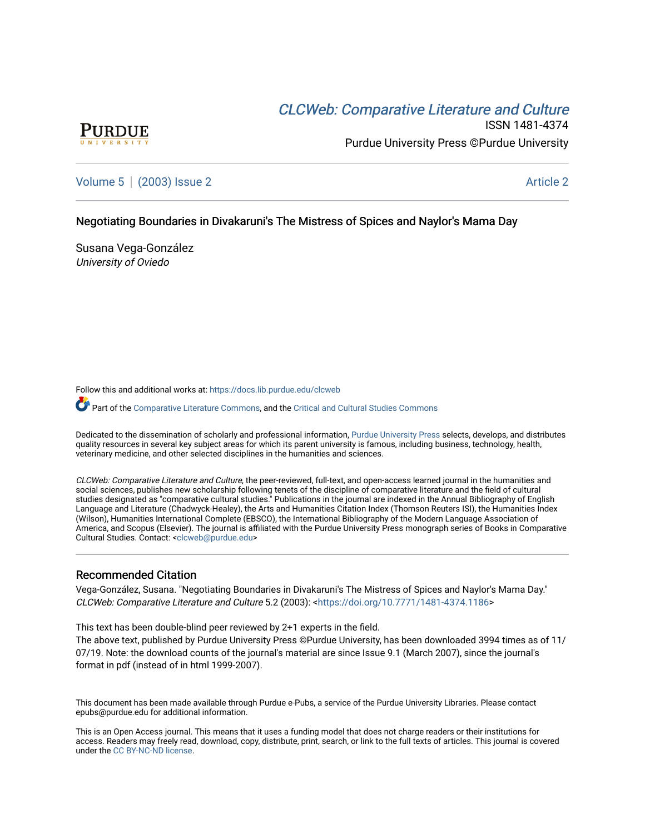# CLCW[eb: Comparative Liter](https://docs.lib.purdue.edu/clcweb)ature and Culture



ISSN 1481-4374 Purdue University Press ©Purdue University

# [Volume 5](https://docs.lib.purdue.edu/clcweb/vol5) | [\(2003\) Issue 2](https://docs.lib.purdue.edu/clcweb/vol5/iss2) Article 2

# Negotiating Boundaries in Divakaruni's The Mistress of Spices and Naylor's Mama Day

Susana Vega-González University of Oviedo

Follow this and additional works at: [https://docs.lib.purdue.edu/clcweb](https://docs.lib.purdue.edu/clcweb?utm_source=docs.lib.purdue.edu%2Fclcweb%2Fvol5%2Fiss2%2F2&utm_medium=PDF&utm_campaign=PDFCoverPages)

Part of the [Comparative Literature Commons,](http://network.bepress.com/hgg/discipline/454?utm_source=docs.lib.purdue.edu%2Fclcweb%2Fvol5%2Fiss2%2F2&utm_medium=PDF&utm_campaign=PDFCoverPages) and the Critical and Cultural Studies Commons

Dedicated to the dissemination of scholarly and professional information, [Purdue University Press](http://www.thepress.purdue.edu/) selects, develops, and distributes quality resources in several key subject areas for which its parent university is famous, including business, technology, health, veterinary medicine, and other selected disciplines in the humanities and sciences.

CLCWeb: Comparative Literature and Culture, the peer-reviewed, full-text, and open-access learned journal in the humanities and social sciences, publishes new scholarship following tenets of the discipline of comparative literature and the field of cultural studies designated as "comparative cultural studies." Publications in the journal are indexed in the Annual Bibliography of English Language and Literature (Chadwyck-Healey), the Arts and Humanities Citation Index (Thomson Reuters ISI), the Humanities Index (Wilson), Humanities International Complete (EBSCO), the International Bibliography of the Modern Language Association of America, and Scopus (Elsevier). The journal is affiliated with the Purdue University Press monograph series of Books in Comparative Cultural Studies. Contact: [<clcweb@purdue.edu](mailto:clcweb@purdue.edu)>

## Recommended Citation

Vega-González, Susana. "Negotiating Boundaries in Divakaruni's The Mistress of Spices and Naylor's Mama Day." CLCWeb: Comparative Literature and Culture 5.2 (2003): <[https://doi.org/10.7771/1481-4374.1186>](https://doi.org/10.7771/1481-4374.1186)

This text has been double-blind peer reviewed by 2+1 experts in the field.

The above text, published by Purdue University Press ©Purdue University, has been downloaded 3994 times as of 11/ 07/19. Note: the download counts of the journal's material are since Issue 9.1 (March 2007), since the journal's format in pdf (instead of in html 1999-2007).

This document has been made available through Purdue e-Pubs, a service of the Purdue University Libraries. Please contact epubs@purdue.edu for additional information.

This is an Open Access journal. This means that it uses a funding model that does not charge readers or their institutions for access. Readers may freely read, download, copy, distribute, print, search, or link to the full texts of articles. This journal is covered under the [CC BY-NC-ND license.](https://creativecommons.org/licenses/by-nc-nd/4.0/)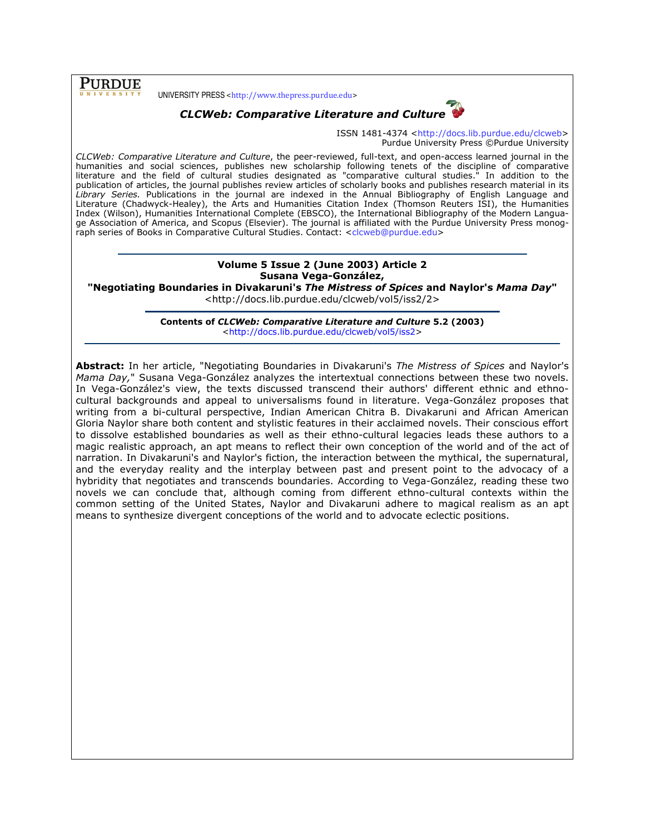**PURDUE** 

UNIVERSITY PRESS <http://www.thepress.purdue.edu>



CLCWeb: Comparative Literature and Culture

ISSN 1481-4374 <http://docs.lib.purdue.edu/clcweb> Purdue University Press ©Purdue University

CLCWeb: Comparative Literature and Culture, the peer-reviewed, full-text, and open-access learned journal in the humanities and social sciences, publishes new scholarship following tenets of the discipline of comparative literature and the field of cultural studies designated as "comparative cultural studies." In addition to the publication of articles, the journal publishes review articles of scholarly books and publishes research material in its Library Series. Publications in the journal are indexed in the Annual Bibliography of English Language and Literature (Chadwyck-Healey), the Arts and Humanities Citation Index (Thomson Reuters ISI), the Humanities Index (Wilson), Humanities International Complete (EBSCO), the International Bibliography of the Modern Language Association of America, and Scopus (Elsevier). The journal is affiliated with the Purdue University Press monograph series of Books in Comparative Cultural Studies. Contact: <clcweb@purdue.edu>

## Volume 5 Issue 2 (June 2003) Article 2 Susana Vega-González,

"Negotiating Boundaries in Divakaruni's The Mistress of Spices and Naylor's Mama Day"

<http://docs.lib.purdue.edu/clcweb/vol5/iss2/2>

Contents of CLCWeb: Comparative Literature and Culture 5.2 (2003) <http://docs.lib.purdue.edu/clcweb/vol5/iss2>

Abstract: In her article, "Negotiating Boundaries in Divakaruni's The Mistress of Spices and Naylor's Mama Day," Susana Vega-González analyzes the intertextual connections between these two novels. In Vega-González's view, the texts discussed transcend their authors' different ethnic and ethnocultural backgrounds and appeal to universalisms found in literature. Vega-González proposes that writing from a bi-cultural perspective, Indian American Chitra B. Divakaruni and African American Gloria Naylor share both content and stylistic features in their acclaimed novels. Their conscious effort to dissolve established boundaries as well as their ethno-cultural legacies leads these authors to a magic realistic approach, an apt means to reflect their own conception of the world and of the act of narration. In Divakaruni's and Naylor's fiction, the interaction between the mythical, the supernatural, and the everyday reality and the interplay between past and present point to the advocacy of a hybridity that negotiates and transcends boundaries. According to Vega-González, reading these two novels we can conclude that, although coming from different ethno-cultural contexts within the common setting of the United States, Naylor and Divakaruni adhere to magical realism as an apt means to synthesize divergent conceptions of the world and to advocate eclectic positions.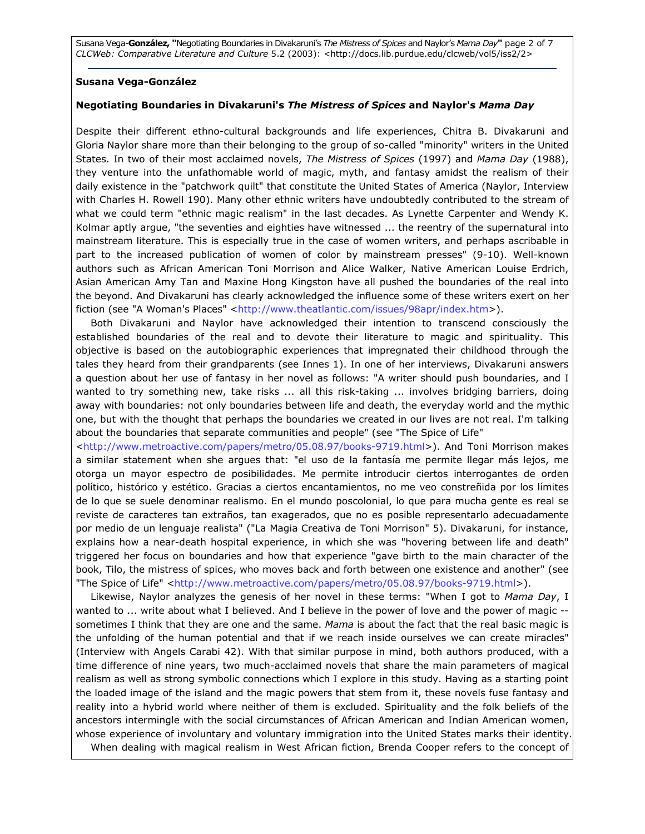Susana Vega-González, "Negotiating Boundaries in Divakaruni's The Mistress of Spices and Naylor's Mama Day" page 2 of 7 CLCWeb: Comparative Literature and Culture 5.2 (2003): <http://docs.lib.purdue.edu/clcweb/vol5/iss2/2>

#### Susana Vega-González

### Negotiating Boundaries in Divakaruni's The Mistress of Spices and Naylor's Mama Day

Despite their different ethno-cultural backgrounds and life experiences, Chitra B. Divakaruni and Gloria Naylor share more than their belonging to the group of so-called "minority" writers in the United States. In two of their most acclaimed novels, The Mistress of Spices (1997) and Mama Day (1988), they venture into the unfathomable world of magic, myth, and fantasy amidst the realism of their daily existence in the "patchwork quilt" that constitute the United States of America (Naylor, Interview with Charles H. Rowell 190). Many other ethnic writers have undoubtedly contributed to the stream of what we could term "ethnic magic realism" in the last decades. As Lynette Carpenter and Wendy K. Kolmar aptly argue, "the seventies and eighties have witnessed ... the reentry of the supernatural into mainstream literature. This is especially true in the case of women writers, and perhaps ascribable in part to the increased publication of women of color by mainstream presses" (9-10). Well-known authors such as African American Toni Morrison and Alice Walker, Native American Louise Erdrich, Asian American Amy Tan and Maxine Hong Kingston have all pushed the boundaries of the real into the beyond. And Divakaruni has clearly acknowledged the influence some of these writers exert on her fiction (see "A Woman's Places" <http://www.theatlantic.com/issues/98apr/index.htm>).

Both Divakaruni and Naylor have acknowledged their intention to transcend consciously the established boundaries of the real and to devote their literature to magic and spirituality. This objective is based on the autobiographic experiences that impregnated their childhood through the tales they heard from their grandparents (see Innes 1). In one of her interviews, Divakaruni answers a question about her use of fantasy in her novel as follows: "A writer should push boundaries, and I wanted to try something new, take risks ... all this risk-taking ... involves bridging barriers, doing away with boundaries: not only boundaries between life and death, the everyday world and the mythic one, but with the thought that perhaps the boundaries we created in our lives are not real. I'm talking about the boundaries that separate communities and people" (see "The Spice of Life"

<http://www.metroactive.com/papers/metro/05.08.97/books-9719.html>). And Toni Morrison makes a similar statement when she argues that: "el uso de la fantasía me permite llegar más lejos, me otorga un mayor espectro de posibilidades. Me permite introducir ciertos interrogantes de orden político, histórico y estético. Gracias a ciertos encantamientos, no me veo constreñida por los límites de lo que se suele denominar realismo. En el mundo poscolonial, lo que para mucha gente es real se reviste de caracteres tan extraños, tan exagerados, que no es posible representarlo adecuadamente por medio de un lenguaje realista" ("La Magia Creativa de Toni Morrison" 5). Divakaruni, for instance, explains how a near-death hospital experience, in which she was "hovering between life and death" triggered her focus on boundaries and how that experience "gave birth to the main character of the book, Tilo, the mistress of spices, who moves back and forth between one existence and another" (see "The Spice of Life" <http://www.metroactive.com/papers/metro/05.08.97/books-9719.html>).

Likewise, Naylor analyzes the genesis of her novel in these terms: "When I got to Mama Day, I wanted to ... write about what I believed. And I believe in the power of love and the power of magic -sometimes I think that they are one and the same. Mama is about the fact that the real basic magic is the unfolding of the human potential and that if we reach inside ourselves we can create miracles" (Interview with Angels Carabi 42). With that similar purpose in mind, both authors produced, with a time difference of nine years, two much-acclaimed novels that share the main parameters of magical realism as well as strong symbolic connections which I explore in this study. Having as a starting point the loaded image of the island and the magic powers that stem from it, these novels fuse fantasy and reality into a hybrid world where neither of them is excluded. Spirituality and the folk beliefs of the ancestors intermingle with the social circumstances of African American and Indian American women, whose experience of involuntary and voluntary immigration into the United States marks their identity. When dealing with magical realism in West African fiction, Brenda Cooper refers to the concept of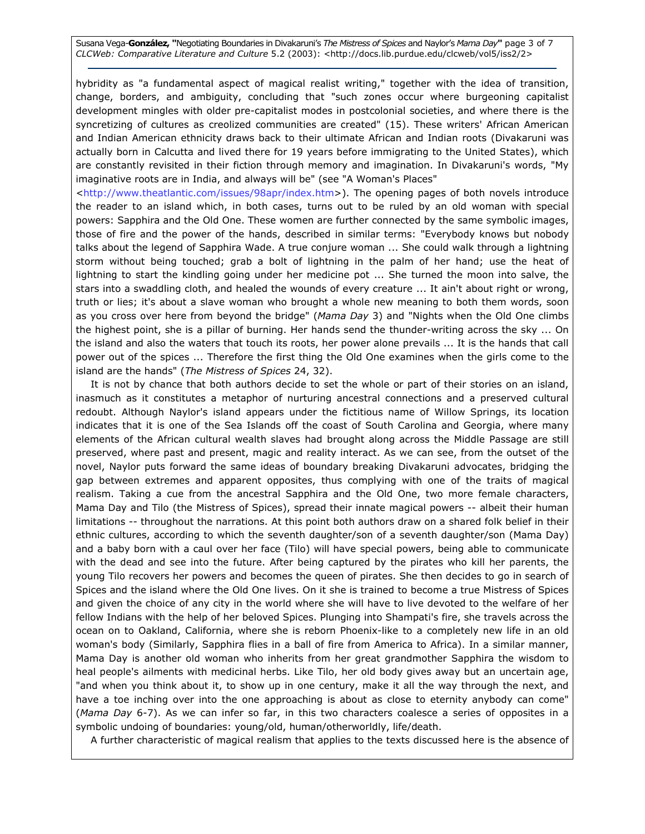Susana Vega-González, "Negotiating Boundaries in Divakaruni's The Mistress of Spices and Naylor's Mama Day" page 3 of 7 CLCWeb: Comparative Literature and Culture 5.2 (2003): <http://docs.lib.purdue.edu/clcweb/vol5/iss2/2>

hybridity as "a fundamental aspect of magical realist writing," together with the idea of transition, change, borders, and ambiguity, concluding that "such zones occur where burgeoning capitalist development mingles with older pre-capitalist modes in postcolonial societies, and where there is the syncretizing of cultures as creolized communities are created" (15). These writers' African American and Indian American ethnicity draws back to their ultimate African and Indian roots (Divakaruni was actually born in Calcutta and lived there for 19 years before immigrating to the United States), which are constantly revisited in their fiction through memory and imagination. In Divakaruni's words, "My imaginative roots are in India, and always will be" (see "A Woman's Places"

<http://www.theatlantic.com/issues/98apr/index.htm>). The opening pages of both novels introduce the reader to an island which, in both cases, turns out to be ruled by an old woman with special powers: Sapphira and the Old One. These women are further connected by the same symbolic images, those of fire and the power of the hands, described in similar terms: "Everybody knows but nobody talks about the legend of Sapphira Wade. A true conjure woman ... She could walk through a lightning storm without being touched; grab a bolt of lightning in the palm of her hand; use the heat of lightning to start the kindling going under her medicine pot ... She turned the moon into salve, the stars into a swaddling cloth, and healed the wounds of every creature ... It ain't about right or wrong, truth or lies; it's about a slave woman who brought a whole new meaning to both them words, soon as you cross over here from beyond the bridge" (Mama Day 3) and "Nights when the Old One climbs the highest point, she is a pillar of burning. Her hands send the thunder-writing across the sky ... On the island and also the waters that touch its roots, her power alone prevails ... It is the hands that call power out of the spices ... Therefore the first thing the Old One examines when the girls come to the island are the hands" (The Mistress of Spices 24, 32).

It is not by chance that both authors decide to set the whole or part of their stories on an island, inasmuch as it constitutes a metaphor of nurturing ancestral connections and a preserved cultural redoubt. Although Naylor's island appears under the fictitious name of Willow Springs, its location indicates that it is one of the Sea Islands off the coast of South Carolina and Georgia, where many elements of the African cultural wealth slaves had brought along across the Middle Passage are still preserved, where past and present, magic and reality interact. As we can see, from the outset of the novel, Naylor puts forward the same ideas of boundary breaking Divakaruni advocates, bridging the gap between extremes and apparent opposites, thus complying with one of the traits of magical realism. Taking a cue from the ancestral Sapphira and the Old One, two more female characters, Mama Day and Tilo (the Mistress of Spices), spread their innate magical powers -- albeit their human limitations -- throughout the narrations. At this point both authors draw on a shared folk belief in their ethnic cultures, according to which the seventh daughter/son of a seventh daughter/son (Mama Day) and a baby born with a caul over her face (Tilo) will have special powers, being able to communicate with the dead and see into the future. After being captured by the pirates who kill her parents, the young Tilo recovers her powers and becomes the queen of pirates. She then decides to go in search of Spices and the island where the Old One lives. On it she is trained to become a true Mistress of Spices and given the choice of any city in the world where she will have to live devoted to the welfare of her fellow Indians with the help of her beloved Spices. Plunging into Shampati's fire, she travels across the ocean on to Oakland, California, where she is reborn Phoenix-like to a completely new life in an old woman's body (Similarly, Sapphira flies in a ball of fire from America to Africa). In a similar manner, Mama Day is another old woman who inherits from her great grandmother Sapphira the wisdom to heal people's ailments with medicinal herbs. Like Tilo, her old body gives away but an uncertain age, "and when you think about it, to show up in one century, make it all the way through the next, and have a toe inching over into the one approaching is about as close to eternity anybody can come" (Mama Day 6-7). As we can infer so far, in this two characters coalesce a series of opposites in a symbolic undoing of boundaries: young/old, human/otherworldly, life/death.

A further characteristic of magical realism that applies to the texts discussed here is the absence of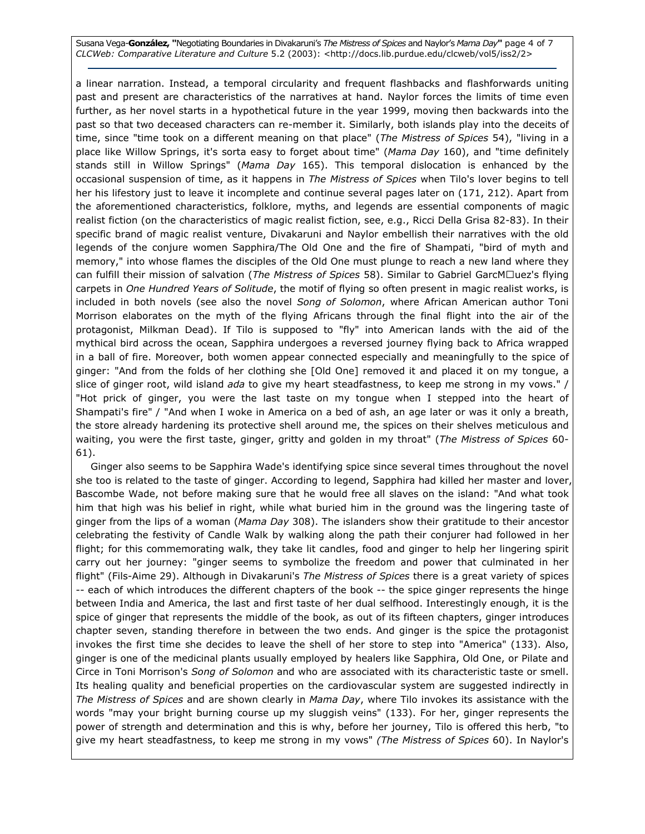Susana Vega-González, "Negotiating Boundaries in Divakaruni's The Mistress of Spices and Naylor's Mama Day" page 4 of 7 CLCWeb: Comparative Literature and Culture 5.2 (2003): <http://docs.lib.purdue.edu/clcweb/vol5/iss2/2>

a linear narration. Instead, a temporal circularity and frequent flashbacks and flashforwards uniting past and present are characteristics of the narratives at hand. Naylor forces the limits of time even further, as her novel starts in a hypothetical future in the year 1999, moving then backwards into the past so that two deceased characters can re-member it. Similarly, both islands play into the deceits of time, since "time took on a different meaning on that place" (The Mistress of Spices 54), "living in a place like Willow Springs, it's sorta easy to forget about time" (Mama Day 160), and "time definitely stands still in Willow Springs" (Mama Day 165). This temporal dislocation is enhanced by the occasional suspension of time, as it happens in The Mistress of Spices when Tilo's lover begins to tell her his lifestory just to leave it incomplete and continue several pages later on (171, 212). Apart from the aforementioned characteristics, folklore, myths, and legends are essential components of magic realist fiction (on the characteristics of magic realist fiction, see, e.g., Ricci Della Grisa 82-83). In their specific brand of magic realist venture, Divakaruni and Naylor embellish their narratives with the old legends of the conjure women Sapphira/The Old One and the fire of Shampati, "bird of myth and memory," into whose flames the disciples of the Old One must plunge to reach a new land where they can fulfill their mission of salvation (The Mistress of Spices 58). Similar to Gabriel GarcMN uez's flying carpets in One Hundred Years of Solitude, the motif of flying so often present in magic realist works, is included in both novels (see also the novel Song of Solomon, where African American author Toni Morrison elaborates on the myth of the flying Africans through the final flight into the air of the protagonist, Milkman Dead). If Tilo is supposed to "fly" into American lands with the aid of the mythical bird across the ocean, Sapphira undergoes a reversed journey flying back to Africa wrapped in a ball of fire. Moreover, both women appear connected especially and meaningfully to the spice of ginger: "And from the folds of her clothing she [Old One] removed it and placed it on my tongue, a slice of ginger root, wild island ada to give my heart steadfastness, to keep me strong in my vows." / "Hot prick of ginger, you were the last taste on my tongue when I stepped into the heart of Shampati's fire" / "And when I woke in America on a bed of ash, an age later or was it only a breath, the store already hardening its protective shell around me, the spices on their shelves meticulous and waiting, you were the first taste, ginger, gritty and golden in my throat" (The Mistress of Spices 60-61).

Ginger also seems to be Sapphira Wade's identifying spice since several times throughout the novel she too is related to the taste of ginger. According to legend, Sapphira had killed her master and lover, Bascombe Wade, not before making sure that he would free all slaves on the island: "And what took him that high was his belief in right, while what buried him in the ground was the lingering taste of ginger from the lips of a woman (Mama Day 308). The islanders show their gratitude to their ancestor celebrating the festivity of Candle Walk by walking along the path their conjurer had followed in her flight; for this commemorating walk, they take lit candles, food and ginger to help her lingering spirit carry out her journey: "ginger seems to symbolize the freedom and power that culminated in her flight" (Fils-Aime 29). Although in Divakaruni's The Mistress of Spices there is a great variety of spices -- each of which introduces the different chapters of the book -- the spice ginger represents the hinge between India and America, the last and first taste of her dual selfhood. Interestingly enough, it is the spice of ginger that represents the middle of the book, as out of its fifteen chapters, ginger introduces chapter seven, standing therefore in between the two ends. And ginger is the spice the protagonist invokes the first time she decides to leave the shell of her store to step into "America" (133). Also, ginger is one of the medicinal plants usually employed by healers like Sapphira, Old One, or Pilate and Circe in Toni Morrison's Song of Solomon and who are associated with its characteristic taste or smell. Its healing quality and beneficial properties on the cardiovascular system are suggested indirectly in The Mistress of Spices and are shown clearly in Mama Day, where Tilo invokes its assistance with the words "may your bright burning course up my sluggish veins" (133). For her, ginger represents the power of strength and determination and this is why, before her journey, Tilo is offered this herb, "to give my heart steadfastness, to keep me strong in my vows" (The Mistress of Spices 60). In Naylor's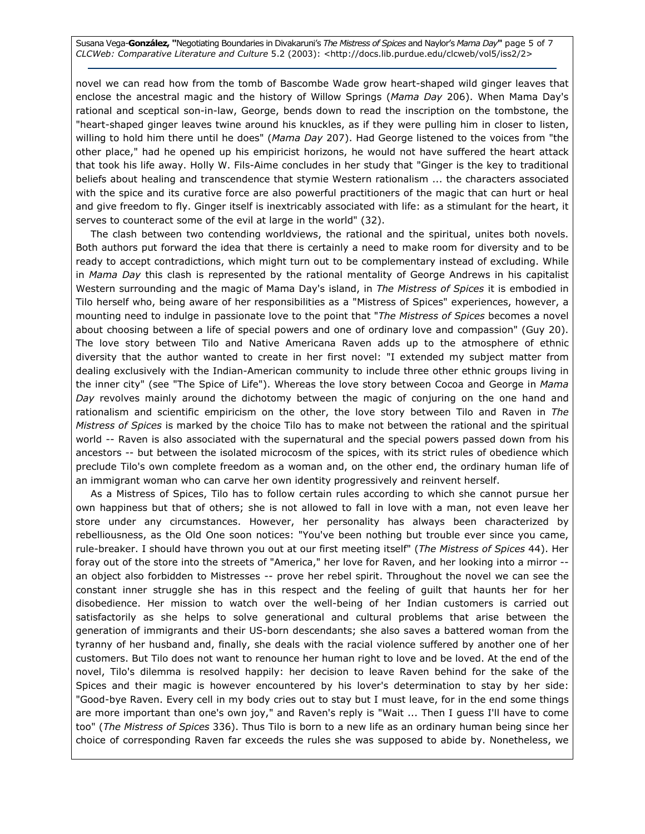Susana Vega-González, "Negotiating Boundaries in Divakaruni's The Mistress of Spices and Naylor's Mama Day" page 5 of 7 CLCWeb: Comparative Literature and Culture 5.2 (2003): <http://docs.lib.purdue.edu/clcweb/vol5/iss2/2>

novel we can read how from the tomb of Bascombe Wade grow heart-shaped wild ginger leaves that enclose the ancestral magic and the history of Willow Springs (Mama Day 206). When Mama Day's rational and sceptical son-in-law, George, bends down to read the inscription on the tombstone, the "heart-shaped ginger leaves twine around his knuckles, as if they were pulling him in closer to listen, willing to hold him there until he does" (Mama Day 207). Had George listened to the voices from "the other place," had he opened up his empiricist horizons, he would not have suffered the heart attack that took his life away. Holly W. Fils-Aime concludes in her study that "Ginger is the key to traditional beliefs about healing and transcendence that stymie Western rationalism ... the characters associated with the spice and its curative force are also powerful practitioners of the magic that can hurt or heal and give freedom to fly. Ginger itself is inextricably associated with life: as a stimulant for the heart, it serves to counteract some of the evil at large in the world" (32).

The clash between two contending worldviews, the rational and the spiritual, unites both novels. Both authors put forward the idea that there is certainly a need to make room for diversity and to be ready to accept contradictions, which might turn out to be complementary instead of excluding. While in Mama Day this clash is represented by the rational mentality of George Andrews in his capitalist Western surrounding and the magic of Mama Day's island, in The Mistress of Spices it is embodied in Tilo herself who, being aware of her responsibilities as a "Mistress of Spices" experiences, however, a mounting need to indulge in passionate love to the point that "The Mistress of Spices becomes a novel about choosing between a life of special powers and one of ordinary love and compassion" (Guy 20). The love story between Tilo and Native Americana Raven adds up to the atmosphere of ethnic diversity that the author wanted to create in her first novel: "I extended my subject matter from dealing exclusively with the Indian-American community to include three other ethnic groups living in the inner city" (see "The Spice of Life"). Whereas the love story between Cocoa and George in Mama Day revolves mainly around the dichotomy between the magic of conjuring on the one hand and rationalism and scientific empiricism on the other, the love story between Tilo and Raven in The Mistress of Spices is marked by the choice Tilo has to make not between the rational and the spiritual world -- Raven is also associated with the supernatural and the special powers passed down from his ancestors -- but between the isolated microcosm of the spices, with its strict rules of obedience which preclude Tilo's own complete freedom as a woman and, on the other end, the ordinary human life of an immigrant woman who can carve her own identity progressively and reinvent herself.

As a Mistress of Spices, Tilo has to follow certain rules according to which she cannot pursue her own happiness but that of others; she is not allowed to fall in love with a man, not even leave her store under any circumstances. However, her personality has always been characterized by rebelliousness, as the Old One soon notices: "You've been nothing but trouble ever since you came, rule-breaker. I should have thrown you out at our first meeting itself" (The Mistress of Spices 44). Her foray out of the store into the streets of "America," her love for Raven, and her looking into a mirror - an object also forbidden to Mistresses -- prove her rebel spirit. Throughout the novel we can see the constant inner struggle she has in this respect and the feeling of guilt that haunts her for her disobedience. Her mission to watch over the well-being of her Indian customers is carried out satisfactorily as she helps to solve generational and cultural problems that arise between the generation of immigrants and their US-born descendants; she also saves a battered woman from the tyranny of her husband and, finally, she deals with the racial violence suffered by another one of her customers. But Tilo does not want to renounce her human right to love and be loved. At the end of the novel, Tilo's dilemma is resolved happily: her decision to leave Raven behind for the sake of the Spices and their magic is however encountered by his lover's determination to stay by her side: "Good-bye Raven. Every cell in my body cries out to stay but I must leave, for in the end some things are more important than one's own joy," and Raven's reply is "Wait ... Then I guess I'll have to come too" (The Mistress of Spices 336). Thus Tilo is born to a new life as an ordinary human being since her choice of corresponding Raven far exceeds the rules she was supposed to abide by. Nonetheless, we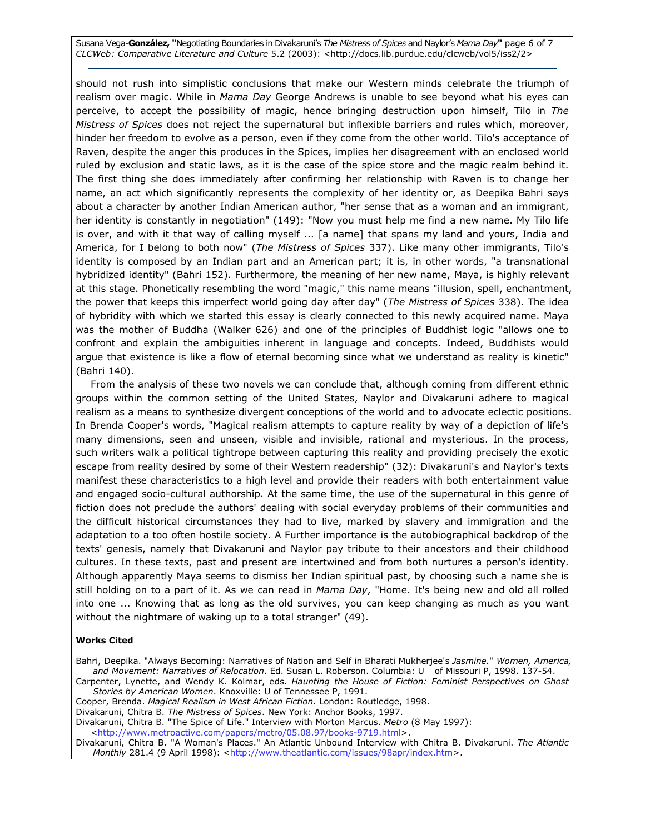Susana Vega-González, "Negotiating Boundaries in Divakaruni's The Mistress of Spices and Naylor's Mama Day" page 6 of 7 CLCWeb: Comparative Literature and Culture 5.2 (2003): <http://docs.lib.purdue.edu/clcweb/vol5/iss2/2>

should not rush into simplistic conclusions that make our Western minds celebrate the triumph of realism over magic. While in Mama Day George Andrews is unable to see beyond what his eyes can perceive, to accept the possibility of magic, hence bringing destruction upon himself, Tilo in The Mistress of Spices does not reject the supernatural but inflexible barriers and rules which, moreover, hinder her freedom to evolve as a person, even if they come from the other world. Tilo's acceptance of Raven, despite the anger this produces in the Spices, implies her disagreement with an enclosed world ruled by exclusion and static laws, as it is the case of the spice store and the magic realm behind it. The first thing she does immediately after confirming her relationship with Raven is to change her name, an act which significantly represents the complexity of her identity or, as Deepika Bahri says about a character by another Indian American author, "her sense that as a woman and an immigrant, her identity is constantly in negotiation" (149): "Now you must help me find a new name. My Tilo life is over, and with it that way of calling myself ... [a name] that spans my land and yours, India and America, for I belong to both now" (The Mistress of Spices 337). Like many other immigrants, Tilo's identity is composed by an Indian part and an American part; it is, in other words, "a transnational hybridized identity" (Bahri 152). Furthermore, the meaning of her new name, Maya, is highly relevant at this stage. Phonetically resembling the word "magic," this name means "illusion, spell, enchantment, the power that keeps this imperfect world going day after day" (The Mistress of Spices 338). The idea of hybridity with which we started this essay is clearly connected to this newly acquired name. Maya was the mother of Buddha (Walker 626) and one of the principles of Buddhist logic "allows one to confront and explain the ambiguities inherent in language and concepts. Indeed, Buddhists would argue that existence is like a flow of eternal becoming since what we understand as reality is kinetic" (Bahri 140).

From the analysis of these two novels we can conclude that, although coming from different ethnic groups within the common setting of the United States, Naylor and Divakaruni adhere to magical realism as a means to synthesize divergent conceptions of the world and to advocate eclectic positions. In Brenda Cooper's words, "Magical realism attempts to capture reality by way of a depiction of life's many dimensions, seen and unseen, visible and invisible, rational and mysterious. In the process, such writers walk a political tightrope between capturing this reality and providing precisely the exotic escape from reality desired by some of their Western readership" (32): Divakaruni's and Naylor's texts manifest these characteristics to a high level and provide their readers with both entertainment value and engaged socio-cultural authorship. At the same time, the use of the supernatural in this genre of fiction does not preclude the authors' dealing with social everyday problems of their communities and the difficult historical circumstances they had to live, marked by slavery and immigration and the adaptation to a too often hostile society. A Further importance is the autobiographical backdrop of the texts' genesis, namely that Divakaruni and Naylor pay tribute to their ancestors and their childhood cultures. In these texts, past and present are intertwined and from both nurtures a person's identity. Although apparently Maya seems to dismiss her Indian spiritual past, by choosing such a name she is still holding on to a part of it. As we can read in Mama Day, "Home. It's being new and old all rolled into one ... Knowing that as long as the old survives, you can keep changing as much as you want without the nightmare of waking up to a total stranger" (49).

#### Works Cited

Bahri, Deepika. "Always Becoming: Narratives of Nation and Self in Bharati Mukherjee's Jasmine." Women, America, and Movement: Narratives of Relocation. Ed. Susan L. Roberson. Columbia: U of Missouri P, 1998. 137-54.

Carpenter, Lynette, and Wendy K. Kolmar, eds. Haunting the House of Fiction: Feminist Perspectives on Ghost Stories by American Women. Knoxville: U of Tennessee P, 1991.

Cooper, Brenda. Magical Realism in West African Fiction. London: Routledge, 1998.

Divakaruni, Chitra B. The Mistress of Spices. New York: Anchor Books, 1997.

Divakaruni, Chitra B. "The Spice of Life." Interview with Morton Marcus. Metro (8 May 1997): <http://www.metroactive.com/papers/metro/05.08.97/books-9719.html>.

Divakaruni, Chitra B. "A Woman's Places." An Atlantic Unbound Interview with Chitra B. Divakaruni. The Atlantic Monthly 281.4 (9 April 1998): <http://www.theatlantic.com/issues/98apr/index.htm>.